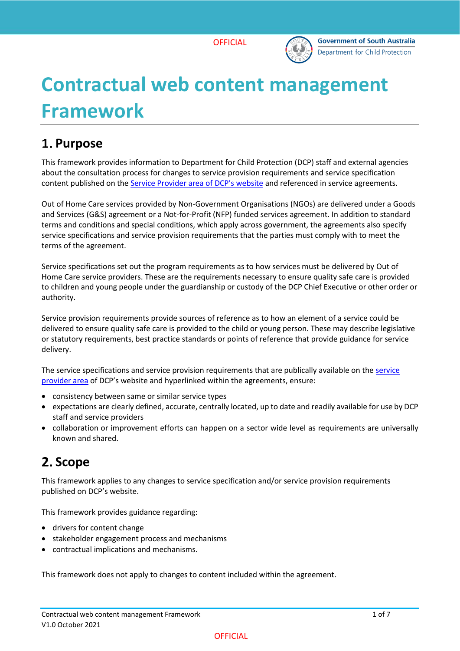

# **Contractual web content management Framework**

### **Purpose**

This framework provides information to Department for Child Protection (DCP) staff and external agencies about the consultation process for changes to service provision requirements and service specification content published on the [Service Provider area of](https://www.childprotection.sa.gov.au/service-providers) DCP's website and referenced in service agreements.

Out of Home Care services provided by Non-Government Organisations (NGOs) are delivered under a Goods and Services (G&S) agreement or a Not-for-Profit (NFP) funded services agreement. In addition to standard terms and conditions and special conditions, which apply across government, the agreements also specify service specifications and service provision requirements that the parties must comply with to meet the terms of the agreement.

Service specifications set out the program requirements as to how services must be delivered by Out of Home Care service providers. These are the requirements necessary to ensure quality safe care is provided to children and young people under the guardianship or custody of the DCP Chief Executive or other order or authority.

Service provision requirements provide sources of reference as to how an element of a service could be delivered to ensure quality safe care is provided to the child or young person. These may describe legislative or statutory requirements, best practice standards or points of reference that provide guidance for service delivery.

The service specifications and service provision requirements that are publically available on the [service](https://www.childprotection.sa.gov.au/service-providers)  [provider area](https://www.childprotection.sa.gov.au/service-providers) of DCP's website and hyperlinked within the agreements, ensure:

- consistency between same or similar service types
- expectations are clearly defined, accurate, centrally located, up to date and readily available for use by DCP staff and service providers
- collaboration or improvement efforts can happen on a sector wide level as requirements are universally known and shared.

# 2. Scope

This framework applies to any changes to service specification and/or service provision requirements published on DCP's website.

This framework provides guidance regarding:

- drivers for content change
- stakeholder engagement process and mechanisms
- contractual implications and mechanisms.

This framework does not apply to changes to content included within the agreement.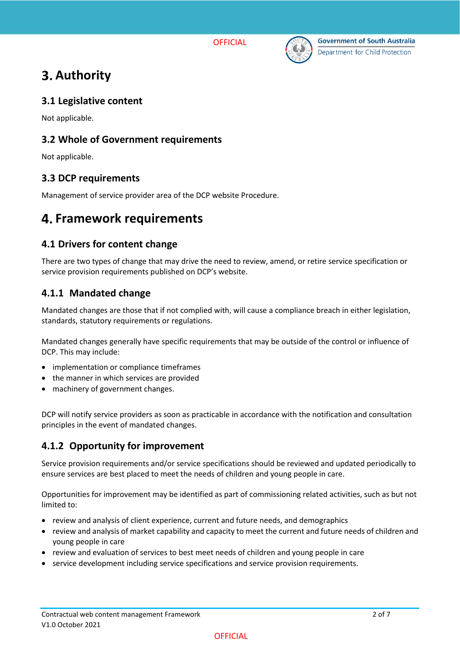



# **Authority**

#### **3.1 Legislative content**

Not applicable.

#### **3.2 Whole of Government requirements**

Not applicable.

#### **3.3 DCP requirements**

Management of service provider area of the DCP website Procedure.

### **Framework requirements**

### **4.1 Drivers for content change**

There are two types of change that may drive the need to review, amend, or retire service specification or service provision requirements published on DCP's website.

#### **4.1.1 Mandated change**

Mandated changes are those that if not complied with, will cause a compliance breach in either legislation, standards, statutory requirements or regulations.

Mandated changes generally have specific requirements that may be outside of the control or influence of DCP. This may include:

- implementation or compliance timeframes
- the manner in which services are provided
- machinery of government changes.

DCP will notify service providers as soon as practicable in accordance with the notification and consultation principles in the event of mandated changes.

### **4.1.2 Opportunity for improvement**

Service provision requirements and/or service specifications should be reviewed and updated periodically to ensure services are best placed to meet the needs of children and young people in care.

Opportunities for improvement may be identified as part of commissioning related activities, such as but not limited to:

- review and analysis of client experience, current and future needs, and demographics
- review and analysis of market capability and capacity to meet the current and future needs of children and young people in care
- review and evaluation of services to best meet needs of children and young people in care
- service development including service specifications and service provision requirements.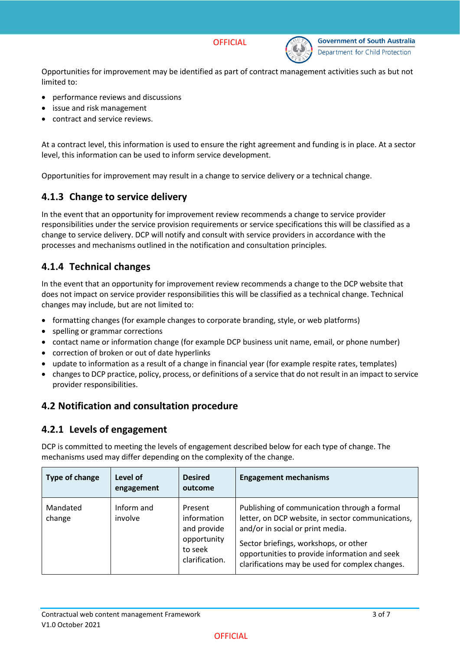



Opportunities for improvement may be identified as part of contract management activities such as but not limited to:

- performance reviews and discussions
- issue and risk management
- contract and service reviews.

At a contract level, this information is used to ensure the right agreement and funding is in place. At a sector level, this information can be used to inform service development.

Opportunities for improvement may result in a change to service delivery or a technical change.

### **4.1.3 Change to service delivery**

In the event that an opportunity for improvement review recommends a change to service provider responsibilities under the service provision requirements or service specifications this will be classified as a change to service delivery. DCP will notify and consult with service providers in accordance with the processes and mechanisms outlined in the notification and consultation principles.

### **4.1.4 Technical changes**

In the event that an opportunity for improvement review recommends a change to the DCP website that does not impact on service provider responsibilities this will be classified as a technical change. Technical changes may include, but are not limited to:

- formatting changes (for example changes to corporate branding, style, or web platforms)
- spelling or grammar corrections
- contact name or information change (for example DCP business unit name, email, or phone number)
- correction of broken or out of date hyperlinks
- update to information as a result of a change in financial year (for example respite rates, templates)
- changes to DCP practice, policy, process, or definitions of a service that do not result in an impact to service provider responsibilities.

#### **4.2 Notification and consultation procedure**

#### **4.2.1 Levels of engagement**

DCP is committed to meeting the levels of engagement described below for each type of change. The mechanisms used may differ depending on the complexity of the change.

| Type of change     | Level of<br>engagement | <b>Desired</b><br>outcome                                                         | <b>Engagement mechanisms</b>                                                                                                                                                                                                                                                       |
|--------------------|------------------------|-----------------------------------------------------------------------------------|------------------------------------------------------------------------------------------------------------------------------------------------------------------------------------------------------------------------------------------------------------------------------------|
| Mandated<br>change | Inform and<br>involve  | Present<br>information<br>and provide<br>opportunity<br>to seek<br>clarification. | Publishing of communication through a formal<br>letter, on DCP website, in sector communications,<br>and/or in social or print media.<br>Sector briefings, workshops, or other<br>opportunities to provide information and seek<br>clarifications may be used for complex changes. |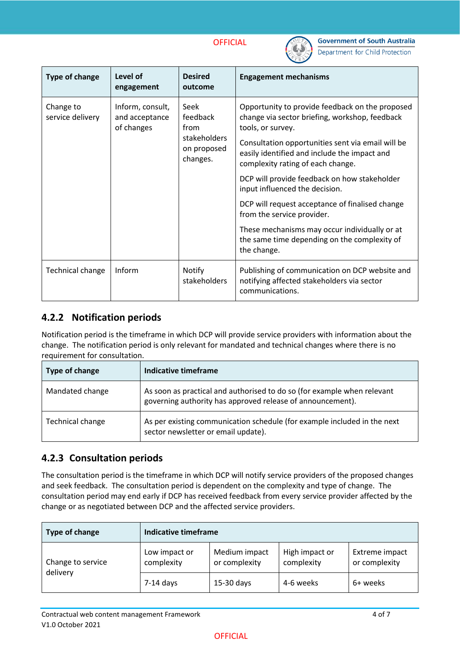

| <b>Type of change</b>         | Level of<br>engagement                           | <b>Desired</b><br>outcome                                           | <b>Engagement mechanisms</b>                                                                                                                                                                                                                                     |
|-------------------------------|--------------------------------------------------|---------------------------------------------------------------------|------------------------------------------------------------------------------------------------------------------------------------------------------------------------------------------------------------------------------------------------------------------|
| Change to<br>service delivery | Inform, consult,<br>and acceptance<br>of changes | Seek<br>feedback<br>from<br>stakeholders<br>on proposed<br>changes. | Opportunity to provide feedback on the proposed<br>change via sector briefing, workshop, feedback<br>tools, or survey.<br>Consultation opportunities sent via email will be<br>easily identified and include the impact and<br>complexity rating of each change. |
|                               |                                                  |                                                                     | DCP will provide feedback on how stakeholder<br>input influenced the decision.                                                                                                                                                                                   |
|                               |                                                  |                                                                     | DCP will request acceptance of finalised change<br>from the service provider.                                                                                                                                                                                    |
|                               |                                                  |                                                                     | These mechanisms may occur individually or at<br>the same time depending on the complexity of<br>the change.                                                                                                                                                     |
| <b>Technical change</b>       | Inform                                           | Notify<br>stakeholders                                              | Publishing of communication on DCP website and<br>notifying affected stakeholders via sector<br>communications.                                                                                                                                                  |

#### **4.2.2 Notification periods**

Notification period is the timeframe in which DCP will provide service providers with information about the change. The notification period is only relevant for mandated and technical changes where there is no requirement for consultation.

| Type of change   | Indicative timeframe                                                                                                                  |
|------------------|---------------------------------------------------------------------------------------------------------------------------------------|
| Mandated change  | As soon as practical and authorised to do so (for example when relevant<br>governing authority has approved release of announcement). |
| Technical change | As per existing communication schedule (for example included in the next<br>sector newsletter or email update).                       |

#### **4.2.3 Consultation periods**

The consultation period is the timeframe in which DCP will notify service providers of the proposed changes and seek feedback. The consultation period is dependent on the complexity and type of change. The consultation period may end early if DCP has received feedback from every service provider affected by the change or as negotiated between DCP and the affected service providers.

| Type of change                | Indicative timeframe        |                                |                              |                                 |
|-------------------------------|-----------------------------|--------------------------------|------------------------------|---------------------------------|
| Change to service<br>delivery | Low impact or<br>complexity | Medium impact<br>or complexity | High impact or<br>complexity | Extreme impact<br>or complexity |
|                               | $7-14$ days                 | 15-30 days                     | 4-6 weeks                    | 6+ weeks                        |

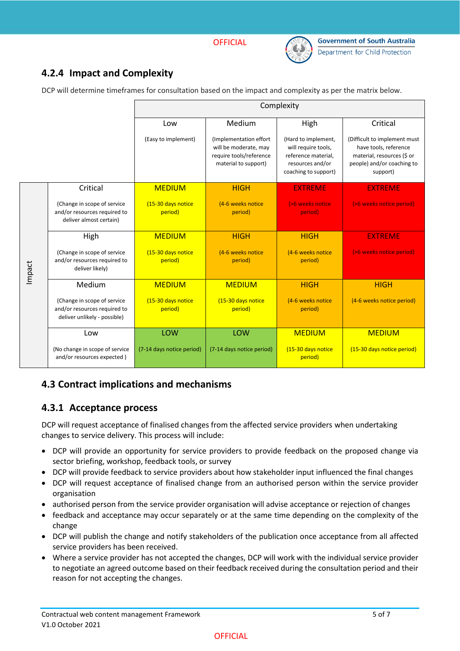

### **4.2.4 Impact and Complexity**

DCP will determine timeframes for consultation based on the impact and complexity as per the matrix below.

|        |                                                                                             |                               |                                                                                                     | Complexity                                                                                                    |                                                                                                                               |
|--------|---------------------------------------------------------------------------------------------|-------------------------------|-----------------------------------------------------------------------------------------------------|---------------------------------------------------------------------------------------------------------------|-------------------------------------------------------------------------------------------------------------------------------|
|        |                                                                                             | Low                           | Medium                                                                                              | High                                                                                                          | Critical                                                                                                                      |
|        |                                                                                             | (Easy to implement)           | (Implementation effort)<br>will be moderate, may<br>require tools/reference<br>material to support) | (Hard to implement,<br>will require tools,<br>reference material,<br>resources and/or<br>coaching to support) | (Difficult to implement must<br>have tools, reference<br>material, resources (\$ or<br>people) and/or coaching to<br>support) |
|        | Critical                                                                                    | <b>MEDIUM</b>                 | <b>HIGH</b>                                                                                         | <b>EXTREME</b>                                                                                                | <b>EXTREME</b>                                                                                                                |
|        | (Change in scope of service<br>and/or resources required to<br>deliver almost certain)      | (15-30 days notice<br>period) | (4-6 weeks notice<br>period)                                                                        | (>6 weeks notice<br>period)                                                                                   | (>6 weeks notice period)                                                                                                      |
|        | High                                                                                        | <b>MEDIUM</b>                 | <b>HIGH</b>                                                                                         | <b>HIGH</b>                                                                                                   | <b>EXTREME</b>                                                                                                                |
| Impact | (Change in scope of service<br>and/or resources required to<br>deliver likely)              | (15-30 days notice<br>period) | (4-6 weeks notice<br>period)                                                                        | (4-6 weeks notice<br>period)                                                                                  | (>6 weeks notice period)                                                                                                      |
|        | Medium                                                                                      | <b>MEDIUM</b>                 | <b>MEDIUM</b>                                                                                       | <b>HIGH</b>                                                                                                   | <b>HIGH</b>                                                                                                                   |
|        | (Change in scope of service<br>and/or resources required to<br>deliver unlikely - possible) | (15-30 days notice<br>period) | (15-30 days notice<br>period)                                                                       | (4-6 weeks notice<br>period)                                                                                  | (4-6 weeks notice period)                                                                                                     |
|        | Low                                                                                         | LOW                           | LOW                                                                                                 | <b>MEDIUM</b>                                                                                                 | <b>MEDIUM</b>                                                                                                                 |
|        | (No change in scope of service<br>and/or resources expected)                                | (7-14 days notice period)     | (7-14 days notice period)                                                                           | (15-30 days notice<br>period)                                                                                 | (15-30 days notice period)                                                                                                    |

#### **4.3 Contract implications and mechanisms**

#### **4.3.1 Acceptance process**

DCP will request acceptance of finalised changes from the affected service providers when undertaking changes to service delivery. This process will include:

- DCP will provide an opportunity for service providers to provide feedback on the proposed change via sector briefing, workshop, feedback tools, or survey
- DCP will provide feedback to service providers about how stakeholder input influenced the final changes
- DCP will request acceptance of finalised change from an authorised person within the service provider organisation
- authorised person from the service provider organisation will advise acceptance or rejection of changes
- feedback and acceptance may occur separately or at the same time depending on the complexity of the change
- DCP will publish the change and notify stakeholders of the publication once acceptance from all affected service providers has been received.
- Where a service provider has not accepted the changes, DCP will work with the individual service provider to negotiate an agreed outcome based on their feedback received during the consultation period and their reason for not accepting the changes.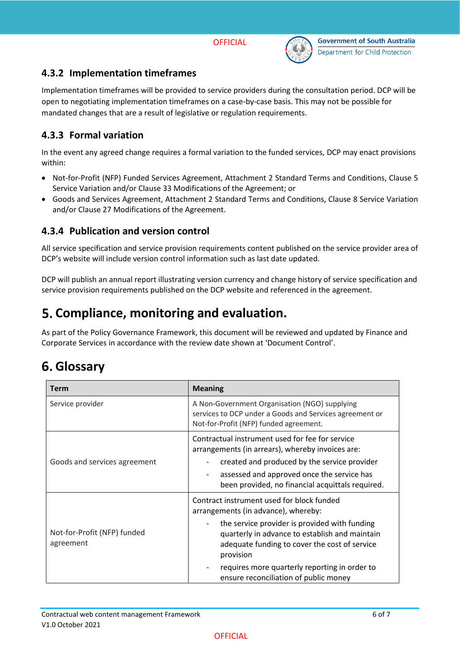

#### **4.3.2 Implementation timeframes**

Implementation timeframes will be provided to service providers during the consultation period. DCP will be open to negotiating implementation timeframes on a case-by-case basis. This may not be possible for mandated changes that are a result of legislative or regulation requirements.

#### **4.3.3 Formal variation**

In the event any agreed change requires a formal variation to the funded services, DCP may enact provisions within:

- Not-for-Profit (NFP) Funded Services Agreement, Attachment 2 Standard Terms and Conditions, Clause 5 Service Variation and/or Clause 33 Modifications of the Agreement; or
- Goods and Services Agreement, Attachment 2 Standard Terms and Conditions, Clause 8 Service Variation and/or Clause 27 Modifications of the Agreement.

#### **4.3.4 Publication and version control**

All service specification and service provision requirements content published on the service provider area of DCP's website will include version control information such as last date updated.

DCP will publish an annual report illustrating version currency and change history of service specification and service provision requirements published on the DCP website and referenced in the agreement.

## **Compliance, monitoring and evaluation.**

As part of the Policy Governance Framework, this document will be reviewed and updated by Finance and Corporate Services in accordance with the review date shown at 'Document Control'.

# **Glossary**

| Term                                     | <b>Meaning</b>                                                                                                                                                |  |  |
|------------------------------------------|---------------------------------------------------------------------------------------------------------------------------------------------------------------|--|--|
| Service provider                         | A Non-Government Organisation (NGO) supplying<br>services to DCP under a Goods and Services agreement or<br>Not-for-Profit (NFP) funded agreement.            |  |  |
|                                          | Contractual instrument used for fee for service<br>arrangements (in arrears), whereby invoices are:                                                           |  |  |
| Goods and services agreement             | created and produced by the service provider                                                                                                                  |  |  |
|                                          | assessed and approved once the service has<br>been provided, no financial acquittals required.                                                                |  |  |
|                                          | Contract instrument used for block funded<br>arrangements (in advance), whereby:                                                                              |  |  |
| Not-for-Profit (NFP) funded<br>agreement | the service provider is provided with funding<br>quarterly in advance to establish and maintain<br>adequate funding to cover the cost of service<br>provision |  |  |
|                                          | requires more quarterly reporting in order to<br>ensure reconciliation of public money                                                                        |  |  |